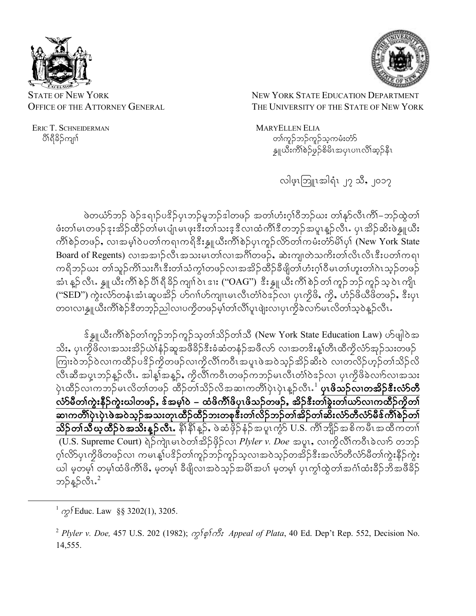

NEW YORK STATE EDUCATION DEPARTMENT THE UNIVERSITY OF THE STATE OF NEW YORK

**MARYELLEN ELIA** တၢ်ကူဉ်ဘဉ်ကူဉ်သူကမံးတံာ် န္ဒူယီးကိၢိစဉ်ဖှဉ်စိမိၤအပုၤပၢၤလိၢ်ဆ္ဉ်နီၤ

လါဖွာဘြူးအါရံၤ၂၇ သိ, ၂၀၁၇

ဖဲတယံာ်ဘဉ် ဖဲဉ်ဒရၢဉ်ပဒိဉ်ပုၤဘဉ်မူဘဉ်ဒါတဖဉ် အတၢ်ဟံးဂူၢ်ဝီဘဉ်ဃး တၢ်နှာ်လီၤကိၢ်–ဘဉ်ထွဲတ၊် ဖံးတါမၤတဖဉ်ဒုးအိဉ်ထိဉ်တါမၤပျံၤမၤဖုးဒီးတါသးဒ့ဒီလၢထံကိၢိဒီတဘ့ဉ်အပူၤန္ဉာလီၤႉ ပှၤအိဉ်ဆိးဖဲန္႔ယီး ကိၢိစဲဉ်တဖဉ်, လၢအမ့္ပ်ာပတ္ပါကရၢကရိဒီးနှူယီးကိၢိစဲဉ်ပုၤကူဉ်လိာ်တာ်ကမံးတံာ်မိၤ်ပု၊် (New York State Board of Regents) လၢအအၢဉ်လီၤအသးမၤတၢ်လၢအင်္ဂါတဖဉ်, ဆဲးကျ၊တဲသကိႏတၤ်လိၤလိၤဒီးပတၢ်ကရၢ ကရိဘဉ်ယး တၢ်သူဉ်ကိၢ်သးဂီၤဒီးတၢ်သံကွၢ်တဖဉ်လၢအအိဉ်ထိဉ်ခီဖျိတၢ်ဟံးဂူၢ်ဝီမၤတၢ်ဟူးတၢ်ဂဲၤသူဉ်တဖဉ် အံၤ န္β လီၤႉ န္ဘူ ယီး ကိၢိ စဲဉ် ပိၢိ ရီ ခိဉ် ကျၢ် ၀ဲၤ ဒၢး (''OAG'') ့ဒီး န္ဘူ ယီး ကိၢ် စဲဉ် တၢ် ကူဉ် ဘုဉ် ကူဉ် သူ ၀ဲၤ ကျိၤ ("SED") ကွဲးလံာ်တနံၤအံၤဆူပအိဉ် ဟ်ဂၢါဟ်ကျၤမၤလီၤတံၢ်ဝဲဒဉ်လၢ ပုၤကွိဖိ, ကွိ, ဟံဉ်ဖိယီဖိတဖဉ်, ဒီးပုၤ တ၀ၢလၢန္ဘူယီးကိၢိစဲဉ်ဒီတဘူဉ်ညါလၢပကၠိတဖဉ်မူ၊်တၢ်လိ၊်ပူၤဖျဲးလၢပုၤကွိခဲလၢာ်မၤလိတၢ်သူဝဲန္ဉာလီၤႉ

န်နှူယီးကိ်္ဂါစဉ်တ္က်ကူဉ်ဘဉ်ကူဉ်သုတ္က်သိဉ်တ္က်သီ (New York State Education Law) ဟ်ဖျါဝဲအ သိး, ပုၤကွိဖိလၢအသးအိဉ်ယဲ\နံဉ်ဆူအဖီခိဉ်ဒီးခံဆံတနံဉ်အဖိလာ် လၢအတဒိးန္၊်တီၤထီကွိလံာ်အှဉ်သးတဖဉ် ကြားဝဲဘဉ်ဝဲလၢကထိဉ်ပဒိဉ်ကိုတဖဉ်လၢကိုလိၢကဝီၤအပူၤဖဲအဝဲသုဉ်အိဉ်ဆိးဝဲ လၢတလိဉ်ဟုဉ်တၢ်သိဉ်လိ ပုံၤထိဉ်လၢကဘဉ်မၤလိတၢ်တဖဉ် ထိဉ်တၢ်သိဉ်လိအဆၢကတိၢ်ပုံၤပုံၤန္ဉာ်လီၤ<sup>.1</sup> **ပုၤဖိသဉ်လၢတအိဉ်ဒီးလံာ်တီ** လံာ်မီတၢ်ကွဲးနီဉ်ကွဲးဃါတဖဉ်, ဒ်အမှု၊်ဝဲ – ထံဖိကိၢ်ဖိပုၤဖိသဉ်တဖဉ်, အိဉ်ဒီးတၢ်ခွဲးတ၊်ယာ်လၢကထိဉ်ကိုတ၊် ဆၢကတိၢ်ပှဲၤပှဲၤဖဲအဝဲသုဉ်အသးတုၤထိဉ်ထိဉ်ဘးတစုဒီးတ၊်လိဉ်ဘဉ်တ၊်အိဉ်တ၊်ဆီးလံာ်တီလံာ်မီဒ်ကိၢ်စဉ်တ၊် **သိဉ်တၢ်သီယ္ဝတီဉ်ဝဲအသိးန္ဉ်လီၤ.** နိ<sup>ု</sup>နို<sup>ု</sup>န္ဉ်, ဖဲဆံဖိုဉ်နံ့ဉ်အပူၤကွံာ် U.S. ကိ်ုဘျိဉ်အစိကမိၤအထိကတၢါ (U.S. Supreme Court) ရဲဉ်ကျဲၤမၤ၀ဲတၢ်အိဉ်ဖိုဉ်လ၊ Plyler v. Doe အပူး, လ၊ကိုလိၢ်ကဝီၤခဲလၢာ် တဘဉ် ဂ္န္အုလ္စည္နက္ခဲဖွလ္ဖက္မ်ားမွာ အမႈမွဳးပုဒ္ရည္ရွိတဲ့ျပည္နယ္အမွာမ်ားအလွည္အသုံးအတူလွယ္စဥ္မွတ္မႈမွာမယ့္ ယါ မှတမှ<sup>ြ</sup>တမှါထံဖိကိါဖိႇ မှတမှါ ခီဖျိလၤအဝဲသုဉ်အမိါအပါ မှတမှါ ပုၤကွါထွဲတါအင်္ဂါထံးခ်ိဉ်ဘိအဖိခိဉ် ဘဉ်နူဉ်လီး.<sup>2</sup>



ERIC T. SCHNEIDERMAN

ပိါ်ရီခိဉ်ကျ၊်

**STATE OF NEW YORK OFFICE OF THE ATTORNEY GENERAL** 

<span id="page-0-0"></span> $^{1}$   $\alpha$  Educ. Law §§ 3202(1), 3205.

<span id="page-0-1"></span><sup>&</sup>lt;sup>2</sup> Plyler v. Doe, 457 U.S. 202 (1982);  $\alpha$ fornes Appeal of Plata, 40 Ed. Dep't Rep. 552, Decision No. 14,555.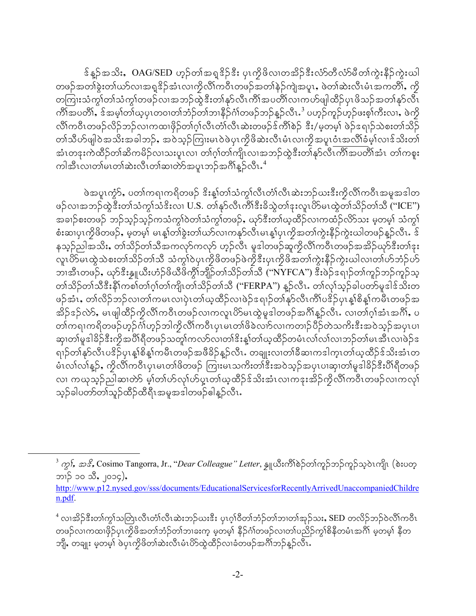န် န္βွဴအသိး,OAG/SED ဟုဉ်တၢ်အရှုဒိုဉ်ဒီး ပုၤကိုဖိလၢတအိဉ်ဒီးလံာ်တီလံာ်မီတ၊်ကွဲးနီဉ်ကွဲးယါ တဖဉ်အတၢ်ခွဲးတ၊်ယာ်လၢအရူဒိဉ်အံၤလၢကိုလိၢ်ကဝိၤတဖဉ်အတၢ်နှဉ်ကျဲအပူၤ, ဖဲတၢ်ဆဲးလီၤမံၤအကတိၢ်, ကို တကြးသံကွၢ်တၢ်သံကွၢ်တဖဉ်လၢအဘဉ်ထွဲဒီးတၢ်နှာ်လီၤကိၢ်အပတိၢ်လၢကဟ်ဖျါထိဉ်ပုၤဖိသဉ်အတၢ်နှာ်လီၤ ကိၢိအပတိၢ်, ဒ်အမှ္ပါတါယူပုၤတဝၢတၢ်ဘံဉ်တၢ်ဘၢနိဉ်ငံ္ဂါတဖဉ်ဘဉ်န္ဉာလီၤ<sup>3</sup> ပဟ္နဉ်ကူဉ်ဟူဉ်ဖးစ္န၊်ကီးလၢ, ဖဲကို လိ\ကဝီၤတဖဉ်လိဉ်ဘဉ်လၢကထၢဖိုဉ်တၢ်ဂ္ဂါလီၤတံၤ်လီၤဆဲးတဖဉ်ဒ်ကိ\်စဲဉ် ဒီး/မ့တမ့\ ဖဲဉ်ဒရၢဉ်သဲစးတၢ်သိဉ် တၢဴသိဟ်ဖျါဝဲအသိးအခါဘဉ်, အဝဲသူဉ်ကြုးမၤဝဲဖဲပုၤကိုဖိဆဲးလီၤမံၤလၢကိုအပူၤဝံၤအလိၢ်ခံမှၤ်လၢဒ်သိးတၤ် အံၤတနးကဲထိဉ်တၢ်ဆိကမိဉ်လ၊သးပူၤလ၊ တၢ်ဂ့ၢ်တၢ်ကျိၤလ၊အဘဉ်ထွဲဒီးတၢ်နှာ်လီၤကိၢ်အပတိၢ်အံၤ တၢ်ကစူး ကါအီၤလ၊တၢ်မၤတၢ်ဆဲးလီၤတၢ်ဆၢတဲာ်အပူၤဘဉ်အဂိၢိန္ဉ်လီၤ $.^4$ 

ဖဲအပူးကဲ့>်, ပတ္ပ္ပ်က္စရ္၊ကရိတဖဉ် ဒိုးန္၊ု်တ္ပ္ပ်သ္မ်ာလိုးတ္ပ်က္လိုသုံးဘဉ်ဃးဒီးကိုလို၊ကဝီၤအမူအဒါတ ဖဉ်လၢအဘဉ်ထွဲဒီးတ၊်သံကွ၊်သံဒိးလ၊ U.S. တ၊်နှာ်လီၤကိၢ်ဒီးခိသွဲတ၊်ဒုးလူၤဟိ9မၤထွဲတ၊်သိဉ်တ၊်သီ ("ICE") အချဉ်စးတဖဉ် ဘဉ်သူဉ်သူဉ်ကသံကွၢ်ဝဲတၢ်သံကွၢ်တဖဉ်ႇ ယုဉ်ဒီးတၢ်ယ့ထိဉ်လၢကထံဉ်လိ9်သး မ့တမ့ၢ် သံကွၢ် စံးဆ၊ပုၤကိုဖိတဖဉ်ႇ မှတမှ၊် မၤန္၊်တၢ်ခွဲးတ၊်ယာ်လၢကနုာ်လီၤမၤန္၊်ပုၤကိုအတၢ်ကွဲးနိဉ်ကွဲးဃါတဖဉ်န္ဉာလီၤႉ ဒ် နသူဉ်ညါအသိး, တၢ်သိဉ်တၢ်သိအကလှာ်ကလှာ် ဟုဉ်လီၤ မူဒါတဖဉ်ဆူကွိလိၢ်ကဝိၤတဖဉ်အအိဉ်ယှာ်ဒီးတၢ်ဒုး လူၤဟိမၤထွဲသဲစးတၢ်သိဉ်တၢ်သိ သံကွၢ်ဝဲပုၤကိုဖိတဖဉ်ဖဲကိုဒီးပုၤကိုဖိအတၢ်ကွဲးနိဉ်ကွဲးဃါလၢတၢ်ဟ်ဘံဉ်ဟ် ဘၢအီၤတဖဉ်ႇ ယုာ်ဒီးန္ဒူယီးဟံဉ်ဖိယီဖိကွိၢ်ဘျိဉ်တၢ်သိဉ်တၢ်သိ (''NYFCA'') ဒီးဖဲဉ်ဒရၢဉ်တၢ်ကူဉ်ဘဉ်ကူဉ်သူ တၢဴသိဉ်တၢဴသီဒီးနိ1်ကစါတ၊်ဂ့ါတ၊်ကျိၤတၢဴသိဉ်တၢဴသိ ("FERPA") နှဉ်လီၤႉ တ၊်လုၤ်သုဉ်ခါပတာ်မူဒါဒ်သိးတ ဖဉ်အံၤႇ တၢ်လိဉ်ဘဉ်လ၊တၢ်ကမၤလ၊ပုဲၤတၢ်ယ့ထိဉ်လၢဖဲဉ်ဒရၢဉ်တၢ်နှာ်လီၤကိၢ်ပဒိဉ်ပုၤန္၊စိန္၊်ကမီၤတဖဉ်အ အိဉ်ဒဉ်လဲ⁄ာ, မၤဖျါထိဉ်ကိုလိၢိကဝိၤတဖဉ်လၢကလူၤပိာ်မၤထွဲမှုဒါတဖဉ်အဂိၢ်န္ဉာလီၤ. လၢတၢ်ဂ္ဂၢ်အံၤအဂိၢ်, ပ တၢ်ကရၢကရိတဖဉ်ဟူဉ်ဂံၢ်ဟူဉ်ဘါကွိလိၢ်ကဝိၤပုၤမၤတၢ်ဖိခဲလၢာ်လၢကတၢဉ်ပိဉ်တဲသကိႏဒီးအဝဲသူဉ်အပုၤပၢ ဆု၊တၢ်မူဒါခိဉ်ဒီးကိုအပိါရီတဖဉ်သတူ၊်ကလာ်လ၊တ၊်ဒိးန့၊်တ၊်ယ့ထိဉ်တမံၤလ၊်လ၊လာဉ်တ၊်မၤအီၤလ၊ဖဲဉ်ဒ ရၢဉ်တၢ်နှာ်လီၤပဒိဉ်ပုၤန္1်စိန္1်ကမီၤတဖဉ်အဖီခိဉ်န္ဥာလီၤႉ တချုးလၢတၢ်ခီဆၢကဒါက္ၤတၢ်ယ္ဇထီဉ်ဒ်သိးအံၤတ မံၤလၢ်လ၊်နူဉ်, ကွိလိၢ်ကဝိၤပုၤမၤတၢ်ဖိတဖဉ် ကြုးမၤသကိးတၢ်ဒီးအဝဲသူဉ်အပုၤပၢဆု၊တၢ်မူဒါခိဉ်ဒီးပိၢိရီတဖဉ် လ၊ ကယုသုဉ်ညါဆ၊တဲာ် မ့္ပ်တ္ပ်ဟ်လုုပ်ာပူးတ္ပါယ္နထိုဉ်ဒ်သိးအံၤလ၊ကဒုးအိဉ်ကိုလိုကြဝီၤတဖဉ်လ၊ကလုု သူဉ်ခါပတာ်တၢ်သူဉ်ထိဉ်ထိရီၤအမှုအဒါတဖဉ်ဓါန္ဉာလီၤ.

<span id="page-1-0"></span> $^3$  ကွ $\mathfrak{f}$ , အ $\mathscr{E}$ , Cosimo Tangorra, Jr., "Dear Colleague" Letter, နှူယီးကိ $\mathfrak{h}$ စ်ဉ်တ $\mathfrak{h}$ ကူဉ်သုဝဲၤကျိၤ (စဲးပတ္ ဘၢဉ် ၁၀ သီႇ ၂၀၁၄),

http://www.p12.nysed.gov/sss/documents/EducationalServicesforRecentlyArrivedUnaccompaniedChildre n.pdf.

<span id="page-1-1"></span> $^4$ လ၊အိဉ်ဒီးတ၊်ကွၤ်သတြၤလီၤတံ၊်လီၤဆဲးဘဉ်ယးဒီး ပုၤဂ္ဂၢိဝိတၢ်ဘံဉ်တၢ်ဘၢတၢ်အှဉ်သး, SED တလိဉ်ဘဉ်ဝဲလိၢ်ကဝိၤ တဖဉ်လၢကထၢဖိုဉ်ပုၤကိုဖိအတၢ်ဘံဉ်တၢ်ဘ၊ခးက့ မ့တမ့ၢ် နိဉ်ဂၢ်တဖဉ်လ၊တၢ်ပညိဉ်ကွၢ်စိနိတမံၤအဂိၢ် မ့တမ့ၢ် နိတ ဘျိ, တချုး မှတမှါ ဖဲပုၤကွိဖိတါဆဲးလီၤမံၤဟိSထွဲထိဉ်လၢခံတဖဉ်အင်္ဂါဘဉ်နှဉ်လီၤ.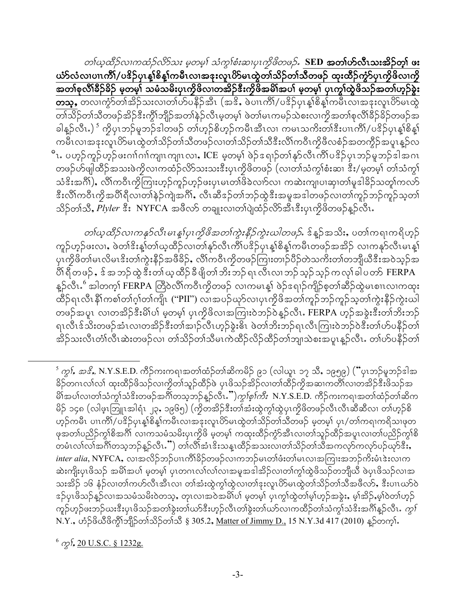တါဃ္စထိဉ်လၢကထံဉ်လိာ်သး မူတမူ၊် သံကွၢ်စံးဆ၊ပုၤကၠိဖိတဖဉ်. SED အ**တၢ်ဟ်လီၤသးအိဉ်တ္၊် ဖႏ** ယံာ်လံလ၊ပၢၤကိိၢ်/ပၓိဉ်ပုၤန္၊ါစိန္၊်ကမီၤလ၊အဒုးလူၤဟိSမၤထွဲတၢ်သိဉ်တၢ်သီတဖဉ် ထုးထိဉ်ကွဲ၁်ပုၤကိုဖိလ၊ကို အတၢ်စုလိၢိနိဉ်နိဉ် မူတမှု၊် သမံသမိးပုၤကွိဖိလၢတအိဉ်ဒီးကွိဖိအမိၢ်အပၢ် မူတမှု၊် ပုၤကွၢ်ထွဲဖိသဉ်အတၢ်ဟူဉ်ခွဲး တသ္, တလၢက္ခံၥ်တ္၊အိဉ်သးလၢတၤ်ဟ်ပနီဉ်အီၤ (အဒိ, ဖဲပၢၤကိၢိ/ပဒိဉ်ပုၤန္၊စိန္၊်ကမီၤလၢအနႈလူၤဟ်မၤထွဲ တၢ်သိဉ်တၢ်သိတဖဉ်အိဉ်ဒီးကွိၢ်ဘျိဉ်အတၢ်နဲ့ဉ်လီၤမ့တမ့ၢ် ဖဲတ၊်မၤကမဉ်သဲစးလၢကိုအတၢ်စုလိၢ်ခိဉ်ခိဉ်တဖဉ်အ ခါန္ဥ်လီၤ.) ်ိဳ ကိုပုၤဘဥ်မူဘဥ်ဒါတဖဉ် တၢ်ဟူဥ်စိဟူဥ်ကမီၤအီၤလၢ ကမၤသကိႏတၢ်ဒီးပၢၤကိၢ်/ပဒိဉ်ပုၤန္န၊်စိန္န၊် ကမိၤလၢအနးလူၤဟိမ၊ထွဲတၢ်သိဉ်တၢ်သိတဖဉ်လၢတၢ်သိဉ်တၢ်သိဒီးလိၢ်ကဝိၤကိုဖိလစံဉ်အတကွိဉ်အပူၤန္ဉာ်လ ိၤ. ပဟ္နဉ်ကူဉ်ဟူဉ်ဖးဂၢၢ်ဂၢၢ်ကျ၊ၤကျ၊ၤလ၊ႇ ICE မှတမ့)် ဖဲဉ်စျော်တၢ်နှာ်လီၤကိၢ်ပဒိဉ်ပုၤဘဉ်မှုဘဉ်ဒါအဂၤ တဖဉ်ဟ်ဖျါထိဉ်အသးဖဲကွိလၢကထံဉ်လိာ်သးသးဒီးပုၤကွိဖိတဖဉ် (လၢတၢ်သံကွၢ်စံးဆ၊ ဒီး/မှတမ့၊် တၢ်သံကွၢ် သံဒိးအင်္ဂါ), လိၢိကဝိၤကိုကြားဟူဉ်ကူဉ်ဟူဉ်ဖးပုၤမၤတၢ်ဖိခဲလၢာ်လၢ ကဆဲးကျ၊ပၢဆု၊တၢ်မူဒါခိဉ်သတူၢ်ကလာ် နီးလိ်ါကဝီၤကိုအပိါရီလ၊တါနဲဉ်ကျဲအဂိါႇ လီၤဆီဒဉ်တါဘဉ်ထွဲနီးအမှုအဒါတဖဉ်လ၊တါကူဉ်ဘဉ်ကူဉ်သူတါ သိဉ်တၢ်သိိႇ Plyler ဒီး NYFCA အဖိလာ် တချုးလၢတၢ်ပျဲထံဉ်လိာ်အီၤဒီးပုၤကိုဖိတဖဉ်န္ဉာလီၤႉ

*တါယ္ထိုိည္လက္မွန္မွ်လ္လုံမၤန္နပ္ပြဲကိုဖိအတက္မွဴးနီ့ဉ်ကွဲးဃါတဖုာ်*… ဒိန္ဥအသိႏႇပတ္ပါကၡ၊ကရိဟ္နဉ် ကူဉ်ဟုဉ်ဖးလၢႇ ဖဲတၢ်ဒိးန္၊ါတ၊်ယ့ထိဉ်လ၊တ၊်နှာ်လီၤကိၢ်ပဒိဉ်ပုၤန္၊ါစိန္၊်ကမီၤတဖဉ်အအိဉ် လ၊ကနှာ်လီၤမၤန္၊ါ ပုၤကၠိဖိတၢ်မၤလိမၤဒိးတၢ်ကွဲးနိဉ်အဖီခိဉ်, လိၢ်ကဝီၤကၠိတဖဉ်ကြၢးတၢဉ်ပိဉ်တဲသကိႏတၢ်တဘျိယီဒီးအဝဲသ့ဉ်အ ပိါ် ရီတဖဉ် , ဒ် အဘဉ်ထွဲ ဒီးတ၊်ယူ ထိဉ်ခီဖျိတ၊်ဘိးဘဉ် ရၤ လီၤလၢဘဉ်သူဉ်သူဉ် က လှ၊်ခါပတ $\delta$  FERPA န္ဥ်လီၤ.်ဴ အါတက္ဒ္က္ FERPA တြီ၀ဲလိၤ်က၀ီၤကိုတဖဉ် လၤကမၤန္၊် ဖဲဉ်ၖရၢဉ်ကျိဉ်စ့တၤ်ဆီဉ်ထွဲမၤစၢၤလၢကထုး ထိဉ်ရၤလီၤနိ1်ကစၢ်တၢ်ဂဲ့ဂ်တ၊်ကျို၊ ("PII") လၢအပဉ်ယှာ်လၢပုၤကွိဖိအတၢ်ကူဉ်ဘဉ်ကူဉ်သူတၢ်ကွဲးနိဉ်ကွဲးယါ တဖဉ်အပူၤ လၢတအိဉ်ဒီးမိîပါ မှတမ့)် ပုၤကိုဖိလၢအကြုးဝဲဘဉ်ဝဲန္နာ်လီၤ. FERPA ဟုဉ်အခွဲးဒီးတၢ်ဘိးဘဉ် ရၤလီၤဒ်သိးတဖဉ်အံၤလၢတအိဉ်ဒီးတၢ်အၢဉ်လီၤဟုဉ်ခွဲးဓိၤ ဖဲတၢ်ဘိးဘဉ်ရၤလီၤကြၢး၀ဲဘဉ်၀ဲဒီးတၢ်ဟ်ပနိဉ်တ၊် အိဉ်သးလီၤတံၤ်လီၤဆဲးတဖဉ်လၢ တၢ်သိဉ်တၢ်သိမၤကဲထိဉ်လိဉ်ထိဉ်တၢ်ဘျ၊သဲစးအပူၤန္ဉာ်လီၤႉ တၢ်ပာ်ပနီဉ်တၤ်

<span id="page-2-0"></span>် *ကွ}်, အဒိ*့, N.Y.S.E.D. ကိဉ်ကးကရၢအတၢ်ထံဉ်တၢ်ဆိကမိဉ် ၉၁ (လါယူၤ ၁၇ သိ, ၁၉၅၉) ("ပုၤဘဉ်မူဘဉ်ဒါအ နိဉ်တဂၤလၢ်လ၊် ထုးထိဉ်ဖိသဉ်လ၊ကိုတ၊်သူဉ်ထိဉ်ဖဲ ပုၤဖိသဉ်အိဉ်လ၊တ၊်ထိဉ်ကိုအဆ၊ကတိ၊်လ၊တအိဉ်နီးဖိသဉ်အ မိ၊်အပါလ၊တါသံကွါသံဒိးတဖဉ်အဂိါတသ့ဘဉ်နူဉ်လီၤ*.'')ကွ<sup>ု</sup>စ္စ္ပါကီး* N.Y.S.E.D. ကိဉ်ကးကရ္၊အတါထံဉ်တါဆိက မိဉ် ၁၄၈ (လါဖူးဘြူးအါရံၤ ၂၃, ၁၉၆၅) (ကိုတအိဉ်ဒီးတၢ်အံးထွဲကွၢ်ထွဲပုၤကိုဖိတဖဉ်လီၤလီၤဆီဆီလၢ တၢ်ဟူဉ်စိ ဟ့ဉ်ကမီၤ ပၢၤကိၢ်/ပဒိဉ်ပှၤန္၊်စိန္၊်ကမီၤလၢအဒုးလူၤပိ>်မၤထွဲတၢ်သိဉ်တၢ်သီတဖဉ် မ့တမ့၊် ပှၤ/တၢ်ကရၢကရိသၢဖုတ ဖုအတၢ်ပညိဉ်ကွၢ်စိအဂိၢ် လၢကသမံသမိးပုၤကွိဖိ မ့တမ့ၢ် ကထုးထိဉ်ကွံာ်အီၤလ၊တၢ်သူဉ်ထိဉ်အပူၤလ၊တၢ်ပညိဉ်ကွ၊်စိ တမံၤလၢ်လက်အင်္ဂါတသူဘဉ်နူဉ်လီၤ.") တ၊်လိၢ်အံၤဒိးသန္ၤထိဉ်အသးလၢတၢ်သိဉ်တၢ်သိအကလှာ်ကလှာ်ပဉ်ယှာ်ဒီးႇ *inter alia*, NYFCA,လၢအလိဉ်ဘဉ်ပၢၤကိၢိခိဉ်တဖဉ်လၢကဘဉ်မၤတၢ်ဖံးတာ်မၤလၢအကြၢးအဘဉ်ကိႈမံၤဒဲးလၢက ဆဲးကျိုးပုၤဖိသဉ် အမိၢိအပါ မူတမူ၊် ပုၤတဂၤလၢ်လ၊်လ၊အမူအဒါအိဉ်လ၊တၢ်ကွ၊်ထွဲဖိသဉ်တဘျိယီ ဖဲပုၤဖိသဉ်လ၊အ သးအိဉ် ၁၆ နံဉ်လ၊တၢ်ကဟ်လီၤအီၤလ၊ တၢ်အံးထွဲကွၢ်ထွဲလ၊တၢ်ဒုးလူၤဟိမ၊ထွဲတၢ်သိဉ်တၢ်သိအဖိလာ်, ဒီးပၢၤဃာ်ဝဲ ဒဉ်ပုၤဖိသဉ်နဉ်လၢအသမံသမိးဝဲတသ့ႇ တုၤလၢအဝဲအမိၢိပၢ် မှတမှ၊် ပုၤက္ဂါထွဲတ၊်မ့ၢ်ဟ္ဉ်အခွဲးႇ မ့ၢ်အိဉ်ႇမ့ၢ်ဝဲတၢ်ဟ္ဉ် ကူဉ်ဟုဉ်ဖးဘဉ်ယးဒီးပုၤဖိသဉ်အတၢ်ခွဲးတ၊်ယာ်ဒီးဟုဉ်လီၤတၢ်ခွဲးတ၊်ယာ်လၢကထိဉ်တၢ်သံကွၢ်သံဒိးအင်္ဂါနူဉ်လီၤ*. ကွ၊်* N.Y., ဟံဉ်ဖိယီဖိကွိၢ်ဘျိဉ်တၢ်သိဉ်တၢ်သိ § 305.2, Matter of Jimmy D., 15 N.Y.3d 417 (2010) နှဉ်တက္ႏ်

<span id="page-2-1"></span> $^{6}$   $\gamma$ ,  $^{6}$  20 U.S.C. § 1232g.